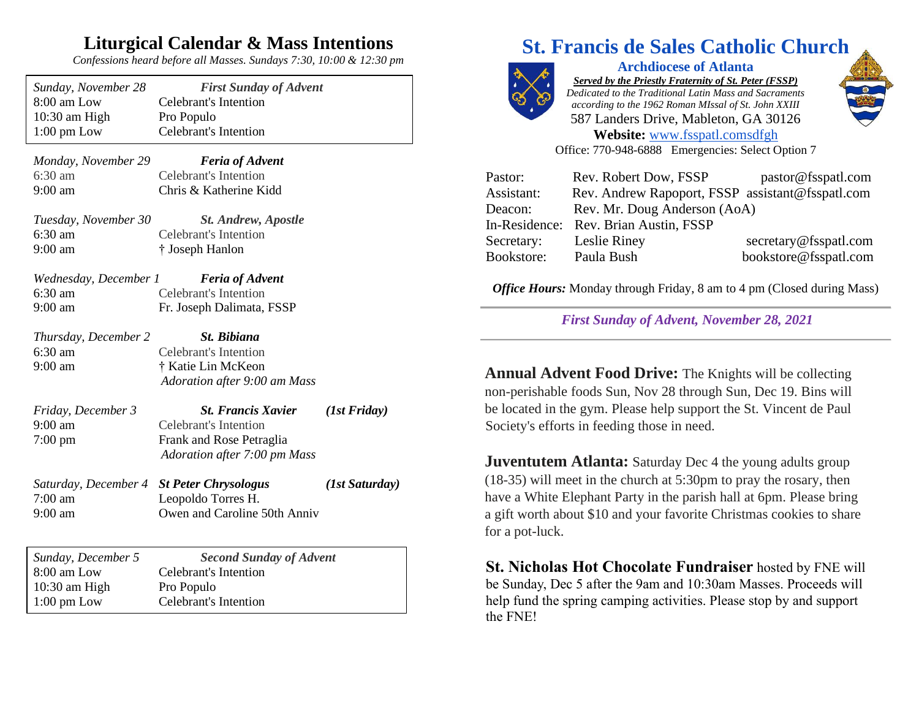## **Liturgical Calendar & Mass Intentions**

*Confessions heard before all Masses. Sundays 7:30, 10:00 & 12:30 pm*

| Sunday, November 28   | <b>First Sunday of Advent</b>  |                |
|-----------------------|--------------------------------|----------------|
| 8:00 am Low           | <b>Celebrant's Intention</b>   |                |
| 10:30 am High         | Pro Populo                     |                |
| $1:00 \text{ pm}$ Low | <b>Celebrant's Intention</b>   |                |
| Monday, November 29   | <b>Feria of Advent</b>         |                |
| $6:30$ am             | Celebrant's Intention          |                |
| 9:00 am               | Chris & Katherine Kidd         |                |
| Tuesday, November 30  | <b>St. Andrew, Apostle</b>     |                |
| 6:30 am               | <b>Celebrant's Intention</b>   |                |
| 9:00 am               | † Joseph Hanlon                |                |
|                       |                                |                |
| Wednesday, December 1 | <b>Feria of Advent</b>         |                |
| $6:30$ am             | <b>Celebrant's Intention</b>   |                |
| $9:00$ am             | Fr. Joseph Dalimata, FSSP      |                |
| Thursday, December 2  | St. Bibiana                    |                |
| 6:30 am               | <b>Celebrant's Intention</b>   |                |
| 9:00 am               | † Katie Lin McKeon             |                |
|                       | Adoration after 9:00 am Mass   |                |
| Friday, December 3    | <b>St. Francis Xavier</b>      | (1st Friday)   |
| $9:00$ am             | <b>Celebrant's Intention</b>   |                |
| $7:00 \text{ pm}$     | Frank and Rose Petraglia       |                |
|                       | Adoration after 7:00 pm Mass   |                |
| Saturday, December 4  | <b>St Peter Chrysologus</b>    | (1st Saturday) |
| $7:00$ am             | Leopoldo Torres H.             |                |
| $9:00$ am             | Owen and Caroline 50th Anniv   |                |
|                       |                                |                |
| Sunday, December 5    | <b>Second Sunday of Advent</b> |                |
| 8:00 am Low           | <b>Celebrant's Intention</b>   |                |
| 10:30 am High         | Pro Populo                     |                |
| $1:00 \text{ pm}$ Low | Celebrant's Intention          |                |

# **St. Francis de Sales Catholic Church**



**Archdiocese of Atlanta** *Served by the Priestly Fraternity of St. Peter (FSSP) Dedicated to the Traditional Latin Mass and Sacraments according to the 1962 Roman MIssal of St. John XXIII* 587 Landers Drive, Mableton, GA 30126 **Website:** [www.fsspatl.coms](http://www.fsspatl.com/)dfgh



Office: 770-948-6888 Emergencies: Select Option 7

| Pastor:    | Rev. Robert Dow, FSSP                            | pastor@fsspatl.com    |
|------------|--------------------------------------------------|-----------------------|
| Assistant: | Rev. Andrew Rapoport, FSSP assistant@fsspatl.com |                       |
| Deacon:    | Rev. Mr. Doug Anderson (AoA)                     |                       |
|            | In-Residence: Rev. Brian Austin, FSSP            |                       |
| Secretary: | Leslie Riney                                     | secretary@fsspatl.com |
| Bookstore: | Paula Bush                                       | bookstore@fsspatl.com |

*Office Hours:* Monday through Friday, 8 am to 4 pm (Closed during Mass)

*First Sunday of Advent, November 28, 2021*

**Annual Advent Food Drive:** The Knights will be collecting non-perishable foods Sun, Nov 28 through Sun, Dec 19. Bins will be located in the gym. Please help support the St. Vincent de Paul Society's efforts in feeding those in need.

**Juventutem Atlanta:** Saturday Dec 4 the young adults group (18-35) will meet in the church at 5:30pm to pray the rosary, then have a White Elephant Party in the parish hall at 6pm. Please bring a gift worth about \$10 and your favorite Christmas cookies to share for a pot-luck.

**St. Nicholas Hot Chocolate Fundraiser** hosted by FNE will be Sunday, Dec 5 after the 9am and 10:30am Masses. Proceeds will help fund the spring camping activities. Please stop by and support the FNE!